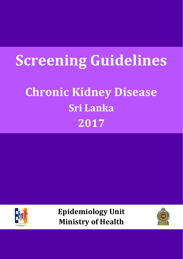# **Screening Guidelines**

## **Chronic Kidney Disease Sri Lanka 2017**



**Epidemiology Unit Ministry of Health**

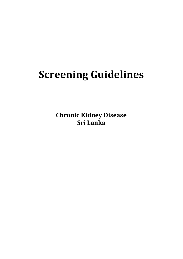## **Screening Guidelines**

**Chronic Kidney Disease Sri Lanka**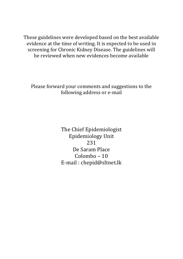These guidelines were developed based on the best available evidence at the time of writing. It is expected to be used in screening for Chronic Kidney Disease. The guidelines will be reviewed when new evidences become available

Please forward your comments and suggestions to the following address or e-mail

> The Chief Epidemiologist Epidemiology Unit 231 De Saram Place Colombo – 10 E-mail : chepid@sltnet.lk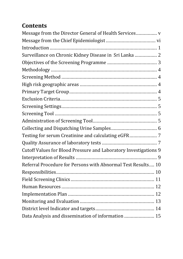## **Contents**

| Message from the Director General of Health Services             |
|------------------------------------------------------------------|
|                                                                  |
|                                                                  |
| Surveillance on Chronic Kidney Disease in Sri Lanka  2           |
|                                                                  |
|                                                                  |
|                                                                  |
|                                                                  |
|                                                                  |
|                                                                  |
|                                                                  |
|                                                                  |
|                                                                  |
|                                                                  |
|                                                                  |
|                                                                  |
| Cutoff Values for Blood Pressure and Laboratory Investigations 9 |
|                                                                  |
| Referral Procedure for Persons with Abnormal Test Results 10     |
|                                                                  |
|                                                                  |
|                                                                  |
|                                                                  |
|                                                                  |
|                                                                  |
| Data Analysis and dissemination of information  15               |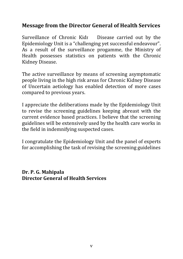### <span id="page-4-0"></span>**Message from the Director General of Health Services**

Surveillance of Chronic Kidr Disease carried out by the Epidemiology Unit is a "challenging yet successful endeavour". As a result of the surveillance progamme, the Ministry of Health possesses statistics on patients with the Chronic Kidney Disease.

The active surveillance by means of screening asymptomatic people living in the high risk areas for Chronic Kidney Disease of Uncertain aetiology has enabled detection of more cases compared to previous years.

I appreciate the deliberations made by the Epidemiology Unit to revise the screening guidelines keeping abreast with the current evidence based practices. I believe that the screening guidelines will be extensively used by the health care works in the field in indemnifying suspected cases.

I congratulate the Epidemiology Unit and the panel of experts for accomplishing the task of revising the screening guidelines

**Dr. P. G. Mahipala Director General of Health Services**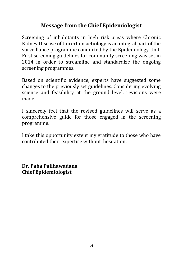## **Message from the Chief Epidemiologist**

<span id="page-5-0"></span>Screening of inhabitants in high risk areas where Chronic Kidney Disease of Uncertain aetiology is an integral part of the surveillance programme conducted by the Epidemiology Unit. First screening guidelines for community screening was set in 2014 in order to streamline and standardize the ongoing screening programmes.

Based on scientific evidence, experts have suggested some changes to the previously set guidelines. Considering evolving science and feasibility at the ground level, revisions were made.

I sincerely feel that the revised guidelines will serve as a comprehensive guide for those engaged in the screening programme.

I take this opportunity extent my gratitude to those who have contributed their expertise without hesitation.

**Dr. Paba Palihawadana Chief Epidemiologist**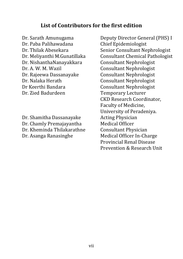#### **List of Contributors for the first edition**

Dr. Paba Palihawadana Chief Epidemiologist Dr. NishanthaNanayakkara Consultant Nephrologist Dr. A. W. M. Wazil Consultant Nephrologist Dr. Rajeewa Dassanayake Consultant Nephrologist Dr. Nalaka Herath Consultant Nephrologist Dr Keerthi Bandara Consultant Nephrologist Dr. Zied Badurdeen Temporary Lecturer

Dr. Shamitha Dassanayake Acting Physician Dr. Chamly Premajayantha Medical Officer Dr. Kheminda Thilakarathne Consultant Physician Dr. Asanga Ranasinghe Medical Officer In-Charge

Dr. Sarath Amunugama Deputy Director General (PHS) I Dr. Thilak Abesekara Senior Consultant Nephrologist Dr. Meliyanthi M.Gunatillaka Consultant Chemical Pathologist CKD Research Coordinator, Faculty of Medicine, University of Peradeniya. Provincial Renal Disease Prevention & Research Unit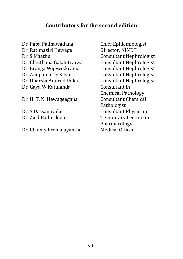#### **Contributors for the second edition**

Dr. Paba Palihawadana Chief Epidemiologist Dr. Rathnasiri Hewage Director, NINDT Dr. S Maathu Consultant Nephrologist Dr. Chinthana Galahitiyawa Consultant Nephrologist Dr. Eranga Wijewikkrama Consultant Nephrologist Dr. Anupama De Silva Consultant Nephrologist Dr. Dharshi Anuruddhika Consultant Nephrologist Dr. Gaya W Katulanda Consultant in

Dr. H. T. N. Hewageegana Consultant Chemical

Dr. Chamly Premajayantha Medical Officer

Chemical Pathology Pathologist Dr. S Dassanayake Consultant Physician Dr. Zied Badurdeem Temporary Lecture in Pharmacology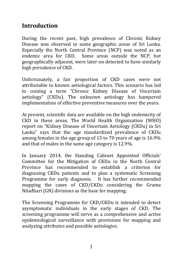## <span id="page-8-0"></span>**Introduction**

During the recent past, high prevalence of Chronic Kidney Disease was observed in some geographic areas of Sri Lanka. Especially the North Central Province (NCP) was noted as an endemic area for CKD. Some areas outside the NCP, but geographically adjacent, were later on detected to have similarly high prevalence of CKD.

Unfortunately, a fair proportion of CKD cases were not attributable to known aetiological factors. This scenario has led to coining a term "Chronic Kidney Disease of Uncertain aetiology" (CKDu). The unknown aetiology has hampered implementation of effective preventive measures over the years.

At present, scientific data are available on the high endemicity of CKD in these areas. The World Health Organization (WHO) report on "Kidney Disease of Uncertain Aetiology (CKDu) in Sri Lanka" says that the age standardized prevalence of CKDu among females in the age group of 15 to 70 years of age is 16.9% and that of males in the same age category is 12.9%.

In January 2014, the Standing Cabinet Appointed Officials' Committee for the Mitigation of CKDu in the North Central Province has recommended to establish a criterion for diagnosing CKDu patients and to plan a systematic Screening Programme for early diagnosis. It has further recommended mapping the cases of CKD/CKDu considering the Grama Niladhari (GN) divisions as the base for mapping.

The Screening Programme for CKD/CKDu is intended to detect asymptomatic individuals in the early stages of CKD. The screening programme will serve as a comprehensive and active epidemiological surveillance with provisions for mapping and analyzing attributes and possible aetiologies.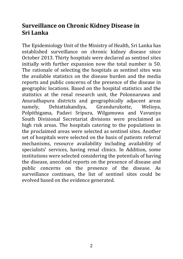## <span id="page-9-0"></span>**Surveillance on Chronic Kidney Disease in Sri Lanka**

The Epidemiology Unit of the Ministry of Health, Sri Lanka has established surveillance on chronic kidney disease since October 2013. Thirty hospitals were declared as sentinel sites initially with further expansion now the total number is 50. The rationale of selecting the hospitals as sentinel sites was the available statistics on the disease burden and the media reports and public concerns of the presence of the disease in geographic locations. Based on the hospital statistics and the statistics at the renal research unit, the Polonnaruwa and Anuradhapura districts and geographically adjacent areas namely, Dehiattakandiya, Girandurukotte, Welioya, Polpithigama, Padavi Sripura, Wilgamuwa and Vavuniya South Divisional Secretariat divisions were proclaimed as high risk areas. The hospitals catering to the populations in the proclaimed areas were selected as sentinel sites. Another set of hospitals were selected on the basis of patients referral mechanisms, resource availability including availability of specialists' services, having renal clinics. In Addition, some institutions were selected considering the potentials of having the disease, anecdotal reports on the presence of disease and public concerns on the presence of the disease. As surveillance continues, the list of sentinel sites could be evolved based on the evidence generated.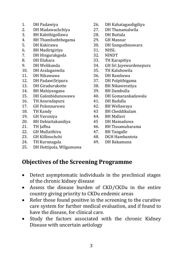- 
- 2. DH Madawachchiya 27. DH Thanamalwila
- 3. BH Kabithigollawa 28. DH Buttala
- 4. BH Thambuththegama 29. GH Mannar<br>5. DH Kakirawa 20. DH Sampatl
- 
- 6. BH Madirigiriya 31. NHSL
- 7. DH Hingurakgoda 32. NINDT
- 
- 
- 
- 11. DH Nikawawa 36. DH Rambewa
- 12. DH PadawiSripura 37. DH Polpithigama
- 13. DH Giradurukotte 38. BH Nikaweratiya
- 14. BH Mahiyangana 39. BH Dambulla
- 
- 16. TH Anuradapura 41. DH Badulla
- 
- 
- 19. GH Vavuniya 44. BH Mallavi
- 20. BH Dehiattakandiya 45 DH Mamaduwa
- 
- 22. GH Mullaithivu 47. BH Tangalle
- 
- 24. TH Kurunagala 49. DH Bakamuna
- 25. DH Hettipola, Wilgamuwa
- 1. DH Padawiya 26. DH Kahatagasdigiliya
	-
	-
	-
	- 30. DH Sampathnuwara
	-
	-
- 8. DH Elahara 33. TH Karapitiya
- 9. DH Welikanda 34. GH Sri Jayewardenepura
	- 10. DH Aralaganwila 35. TH Kalubowila
		-
		-
		-
		-
- 15. DH Galenbidunuwawa 40. DH Gomarankadawala
	-
- 17. GH Polonnaruwa 42. BH Wellawaya
- 18. TH Kandy 43 BH Cheddikulam
	-
	-
- 21. TH Jaffna 46. BH Tissamaharama
	-
- 23. GH Killinochchi 48. DGH Hambantota
	-

## <span id="page-10-0"></span>**Objectives of the Screening Programme**

- Detect asymptomatic individuals in the preclinical stages of the chronic kidney disease
- Assess the disease burden of CKD/CKDu in the entire country giving priority to CKDu endemic areas
- Refer those found positive in the screening to the curative care system for further medical evaluation, and if found to have the disease, for clinical care.
- Study the factors associated with the chronic Kidney Disease with uncertain aetiology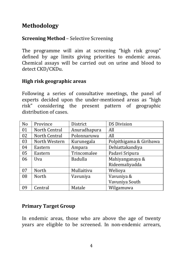## <span id="page-11-0"></span>**Methodology**

#### <span id="page-11-1"></span>**Screening Method** – Selective Screening

The programme will aim at screening "high risk group" defined by age limits giving priorities to endemic areas. Chemical assays will be carried out on urine and blood to detect CKD/CKDu.

#### <span id="page-11-2"></span>**High risk geographic areas**

Following a series of consultative meetings, the panel of experts decided upon the under-mentioned areas as "high risk" considering the present pattern of geographic distribution of cases.

| N <sub>o</sub> | Province      | District       | <b>DS Division</b>      |
|----------------|---------------|----------------|-------------------------|
| 01             | North Central | Anuradhapura   | All                     |
| 02             | North Central | Polonnaruwa    | All                     |
| 03             | North Western | Kurunegala     | Polpithigama & Giribawa |
| 04             | Eastern       | Ampara         | Dehiattakandiya         |
| 05             | Eastern       | Trincomalee    | Padavi Sripura          |
| 06             | Uva           | <b>Badulla</b> | Mahiyanganaya &         |
|                |               |                | Rideemaliyadda          |
| 07             | North         | Mullaitivu     | Welioya                 |
| 08             | North         | Vavuniya       | Vavuniya &              |
|                |               |                | Vavuniya South          |
| 09             | Central       | Matale         | Wilgamuwa               |

#### <span id="page-11-3"></span>**Primary Target Group**

In endemic areas, those who are above the age of twenty years are eligible to be screened. In non-endemic arrears,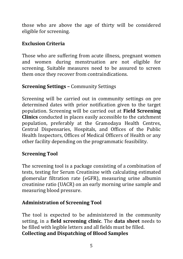those who are above the age of thirty will be considered eligible for screening.

#### <span id="page-12-0"></span>**Exclusion Criteria**

Those who are suffering from acute illness, pregnant women and women during menstruation are not eligible for screening. Suitable measures need to be assured to screen them once they recover from contraindications.

#### <span id="page-12-1"></span>**Screening Settings –** Community Settings

Screening will be carried out in community settings on pre determined dates with prior notification given to the target population. Screening will be carried out at **Field Screening Clinics** conducted in places easily accessible to the catchment population, preferably at the Gramodaya Health Centres, Central Dispensaries, Hospitals, and Offices of the Public Health Inspectors, Offices of Medical Officers of Health or any other facility depending on the programmatic feasibility.

### <span id="page-12-2"></span>**Screening Tool**

The screening tool is a package consisting of a combination of tests, testing for Serum Creatinine with calculating estimated glomerular filtration rate (eGFR), measuring urine albumin creatinine ratio (UACR) on an early morning urine sample and measuring blood pressure.

### <span id="page-12-3"></span>**Administration of Screening Tool**

The tool is expected to be administered in the community setting, in a **field screening clinic**. The **data sheet** needs to be filled with legible letters and all fields must be filled. **Collecting and Dispatching of Blood Samples**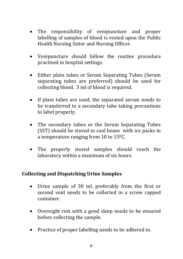- The responsibility of venipuncture and proper labelling of samples of blood is vested upon the Public Health Nursing Sister and Nursing Officer.
- Venipuncture should follow the routine procedure practised in hospital settings.
- Either plain tubes or Serum Separating Tubes (Serum separating tubes are preferred) should be used for collecting blood. 3 ml of blood is required.
- If plain tubes are used, the separated serum needs to be transferred to a secondary tube taking precautions to label properly.
- The secondary tubes or the Serum Separating Tubes (SST) should be stored in cool boxes with ice packs in a temperature ranging from 10 to 150C.
- The properly stored samples should reach the laboratory within a maximum of six hours.

#### <span id="page-13-0"></span>**Collecting and Dispatching Urine Samples**

- Urine sample of 30 ml, preferably from the first or second void needs to be collected in a screw capped container.
- Overnight rest with a good sleep needs to be ensured before collecting the sample.
- Practice of proper labelling needs to be adhered to.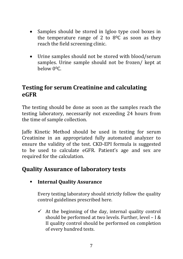- Samples should be stored in Igloo type cool boxes in the temperature range of 2 to  $8^{\circ}$ C as soon as they reach the field screening clinic.
- Urine samples should not be stored with blood/serum samples. Urine sample should not be frozen/ kept at below 00C.

## <span id="page-14-0"></span>**Testing for serum Creatinine and calculating eGFR**

The testing should be done as soon as the samples reach the testing laboratory, necessarily not exceeding 24 hours from the time of sample collection.

Jaffe Kinetic Method should be used in testing for serum Creatinine in an appropriated fully automated analyzer to ensure the validity of the test. CKD-EPI formula is suggested to be used to calculate eGFR. Patient's age and sex are required for the calculation.

## <span id="page-14-1"></span>**Quality Assurance of laboratory tests**

### **Internal Quality Assurance**

Every testing laboratory should strictly follow the quality control guidelines prescribed here.

 $\checkmark$  At the beginning of the day, internal quality control should be performed at two levels. Further, level – I & II quality control should be performed on completion of every hundred tests.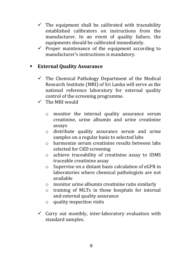- $\checkmark$  The equipment shall be calibrated with traceability established calibrators on instructions from the manufacturer. In an event of quality failure, the equipments should be calibrated immediately.
- $\checkmark$  Proper maintenance of the equipment according to manufacturer's instructions is mandatory.

#### **External Quality Assurance**

- $\checkmark$  The Chemical Pathology Department of the Medical Research Institute (MRI) of Sri Lanka will serve as the national reference laboratory for external quality control of the screening programme.
- $\checkmark$  The MRI would
	- o monitor the internal quality assurance serum creatinine, urine albumin and urine creatinine assays
	- o distribute quality assurance serum and urine samples on a regular basis to selected labs
	- o harmonize serum creatinine results between labs selected for CKD screening
	- o achieve traceability of creatinine assay to IDMS traceable creatinine assay
	- o Supervise on a distant basis calculation of eGFR in laboratories where chemical pathologists are not available
	- o monitor urine albumin creatinine ratio similarly
	- o training of MLTs in those hospitals for internal and external quality assurance
	- o quality inspection visits
- $\checkmark$  Carry out monthly, inter-laboratory evaluation with standard samples.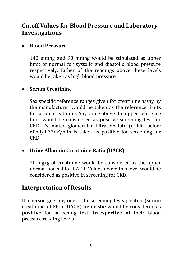## <span id="page-16-0"></span>**Cutoff Values for Blood Pressure and Laboratory Investigations**

#### **Blood Pressure**

140 mmhg and 90 mmhg would be stipulated as upper limit of normal for systolic and diastolic blood pressure respectively. Either of the readings above these levels would be taken as high blood pressure.

#### **Serum Creatinine**

Sex specific reference ranges given for creatinine assay by the manufacturer would be taken as the reference limits for serum creatinine. Any value above the upper reference limit would be considered as positive screening test for CKD. Estimated glomerular filtration fate (eGFR) below 60ml/1.73m2/min is taken as positive for screening for CKD.

### **Urine Albumin Creatinine Ratio (UACR)**

30 mg/g of creatinine would be considered as the upper normal normal for UACR. Values above this level would be considered as positive in screening for CKD.

## <span id="page-16-1"></span>**Interpretation of Results**

If a person gets any one of the screening tests positive (serum creatinine, eGFR or UACR) **he or she** would be considered as **positive** for screening test, **irrespective of** their blood pressure reading levels.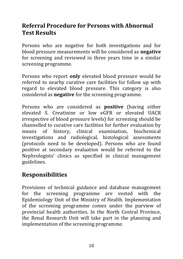## <span id="page-17-0"></span>**Referral Procedure for Persons with Abnormal Test Results**

Persons who are negative for both investigations and for blood pressure measurements will be considered as **negative** for screening and reviewed in three years time in a similar screening programme.

Persons who report **only** elevated blood pressure would be referred to nearby curative care facilities for follow up with regard to elevated blood pressure. This category is also considered as **negative** for the screening programme.

Persons who are considered as **positive** (having either elevated S. Creatinine or low eGFR or elevated UACR irrespective of blood pressure levels) for screening should be channelled to curative care facilities for further evaluation by means of history, clinical examination, biochemical investigations and radiological, histological assessments (protocols need to be developed). Persons who are found positive at secondary evaluation would be referred to the Nephrologists' clinics as specified in clinical management guidelines.

## <span id="page-17-1"></span>**Responsibilities**

Provisions of technical guidance and database management for the screening programme are vested with the Epidemiology Unit of the Ministry of Health. Implementation of the screening programme comes under the purview of provincial health authorities. In the North Central Province, the Renal Research Unit will take part in the planning and implementation of the screening programme.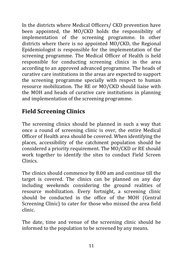In the districts where Medical Officers/ CKD prevention have been appointed, the MO/CKD holds the responsibility of implementation of the screening programme. In other districts where there is no appointed MO/CKD, the Regional Epidemiologist is responsible for the implementation of the screening programme. The Medical Officer of Health is held responsible for conducting screening clinics in the area according to an approved advanced programme. The heads of curative care institutions in the areas are expected to support the screening programme specially with respect to human resource mobilization. The RE or MO/CKD should liaise with the MOH and heads of curative care institutions in planning and implementation of the screening programme.

## <span id="page-18-0"></span>**Field Screening Clinics**

The screening clinics should be planned in such a way that once a round of screening clinic is over, the entire Medical Officer of Health area should be covered. When identifying the places, accessibility of the catchment population should be considered a priority requirement. The MO/CKD or RE should work together to identify the sites to conduct Field Screen Clinics.

The clinics should commence by 8.00 am and continue till the target is covered. The clinics can be planned on any day including weekends considering the ground realities of resource mobilization. Every fortnight, a screening clinic should be conducted in the office of the MOH (Central Screening Clinic) to cater for those who missed the area field clinic.

The date, time and venue of the screening clinic should be informed to the population to be screened by any means.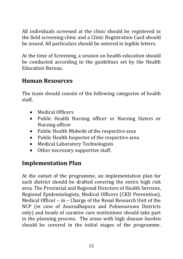All individuals screened at the clinic should be registered in the field screening clinic and a Clinic Registration Card should be issued. All particulars should be entered in legible letters.

At the time of Screening, a session on health education should be conducted according to the guidelines set by the Health Education Bureau.

## <span id="page-19-0"></span>**Human Resources**

The team should consist of the following categories of health staff,

- Medical Officers
- Public Health Nursing officer or Nursing Sisters or Nursing officer
- Public Health Midwife of the respective area
- Public Health Inspector of the respective area
- Medical Laboratory Technologists
- Other necessary supportive staff.

## <span id="page-19-1"></span>**Implementation Plan**

At the outset of the programme, an implementation plan for each district should be drafted covering the entire high risk area. The Provincial and Regional Directors of Health Services, Regional Epidemiologists, Medical Officers (CKD Prevention), Medical Officer – in – Charge of the Renal Research Unit of the NCP (in case of Anuradhapura and Polonnaruwa Districts only) and heads of curative care institutions should take part in the planning process. The areas with high disease burden should be covered in the initial stages of the programme.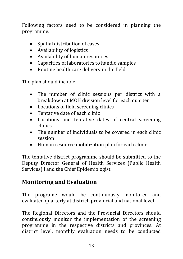Following factors need to be considered in planning the programme.

- Spatial distribution of cases
- Availability of logistics
- Availability of human resources
- Capacities of laboratories to handle samples
- Routine health care delivery in the field

The plan should include

- The number of clinic sessions per district with a breakdown at MOH division level for each quarter
- Locations of field screening clinics
- Tentative date of each clinic
- Locations and tentative dates of central screening clinics
- The number of individuals to be covered in each clinic session
- Human resource mobilization plan for each clinic

The tentative district programme should be submitted to the Deputy Director General of Health Services (Public Health Services) I and the Chief Epidemiologist.

## <span id="page-20-0"></span>**Monitoring and Evaluation**

The programe would be continuously monitored and evaluated quarterly at district, provincial and national level.

The Regional Directors and the Provincial Directors should continuously monitor the implementation of the screening programme in the respective districts and provinces. At district level, monthly evaluation needs to be conducted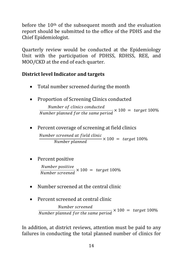before the  $10<sup>th</sup>$  of the subsequent month and the evaluation report should be submitted to the office of the PDHS and the Chief Epidemiologist.

Quarterly review would be conducted at the Epidemiology Unit with the participation of PDHSS, RDHSS, REE, and MOO/CKD at the end of each quarter.

## <span id="page-21-0"></span>**District level Indicator and targets**

- Total number screened during the month
- Proportion of Screening Clinics conducted

 $\boldsymbol{N}$  $\boldsymbol{N}$ 

Percent coverage of screening at field clinics

 $\boldsymbol{N}$  $\overline{N}$ 

• Percent positive

 $\boldsymbol{N}$  $\boldsymbol{N}$ 

- Number screened at the central clinic
- Percent screened at central clinic

Number screened Number planned for the same period  $\times 100 =$  target 100%

In addition, at district reviews, attention must be paid to any failures in conducting the total planned number of clinics for